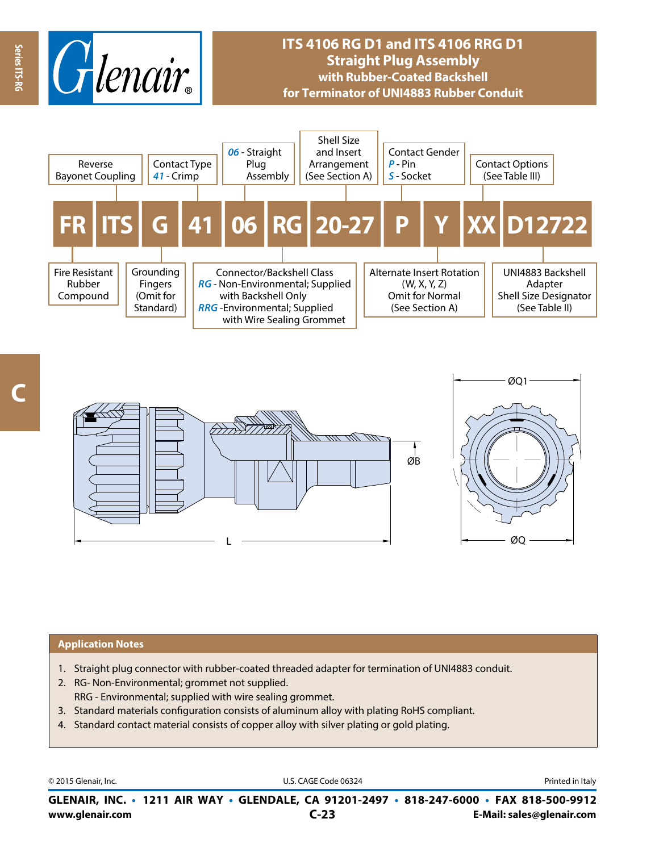

# **ITS 4106 RG D1 and ITS 4106 RRG D1 Straight Plug Assembly with Rubber-Coated Backshell for Terminator of UNI4883 Rubber Conduit**



**Series ITS-RG**

Series ITS-RC



#### **Application Notes**

- 1. Straight plug connector with rubber-coated threaded adapter for termination of UNI4883 conduit.
- 2. RG- Non-Environmental; grommet not supplied. RRG - Environmental; supplied with wire sealing grommet.
- 3. Standard materials configuration consists of aluminum alloy with plating RoHS compliant.
- 4. Standard contact material consists of copper alloy with silver plating or gold plating.

© 2015 Glenair, Inc. **Discription Construction Construction Construction Construction Construction Construction Construction Construction Construction Construction Construction Construction Construction Construction Constr** 

**www.glenair.com E-Mail: sales@glenair.com GLENAIR, INC. • 1211 AIR WAY • GLENDALE, CA 91201-2497 • 818-247-6000 • FAX 818-500-9912 C-23**